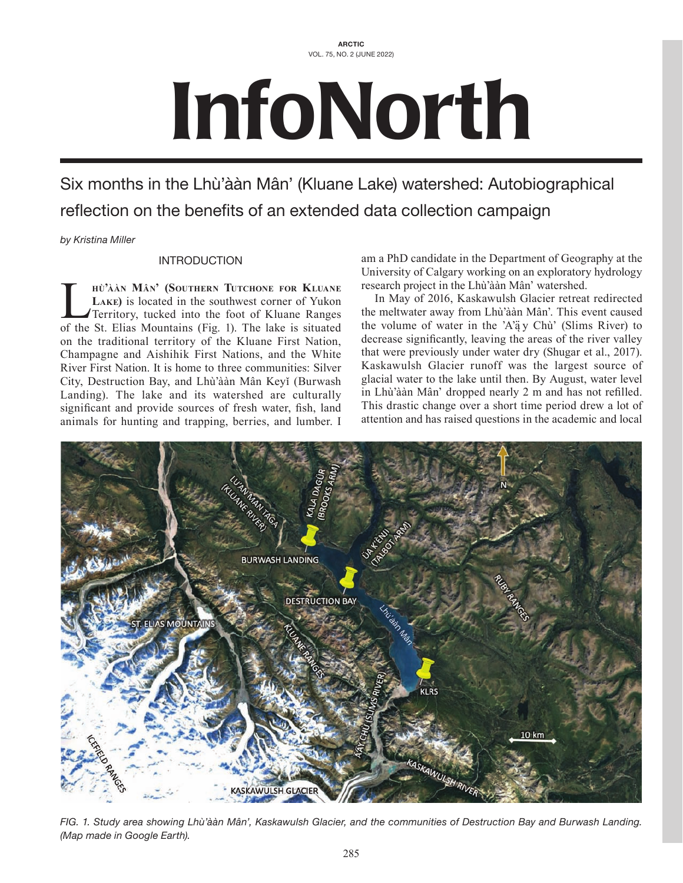**ARCTIC** VOL. 75, NO. 2 (JUNE 2022)

# InfoNorth

## Six months in the Lhù'ààn Mân' (Kluane Lake) watershed: Autobiographical reflection on the benefits of an extended data collection campaign

*by Kristina Miller*

#### INTRODUCTION

**LAKE)** is located in the southwest corner of Yukon<br>
Territory, tucked into the foot of Kluane Ranges<br>
Territory, tucked into the foot of Kluane Ranges **laKe)** is located in the southwest corner of Yukon of the St. Elias Mountains (Fig. 1). The lake is situated on the traditional territory of the Kluane First Nation, Champagne and Aishihik First Nations, and the White River First Nation. It is home to three communities: Silver City, Destruction Bay, and Lhù'ààn Mân Keyǐ (Burwash Landing). The lake and its watershed are culturally signifcant and provide sources of fresh water, fsh, land animals for hunting and trapping, berries, and lumber. I

am a PhD candidate in the Department of Geography at the University of Calgary working on an exploratory hydrology research project in the Lhù'ààn Mân' watershed.

In May of 2016, Kaskawulsh Glacier retreat redirected the meltwater away from Lhù'ààn Mân'. This event caused the volume of water in the 'A'ą̈ y Chù' (Slims River) to decrease signifcantly, leaving the areas of the river valley that were previously under water dry (Shugar et al., 2017). Kaskawulsh Glacier runoff was the largest source of glacial water to the lake until then. By August, water level in Lhù'ààn Mân' dropped nearly 2 m and has not reflled. This drastic change over a short time period drew a lot of attention and has raised questions in the academic and local



*FIG. 1. Study area showing Lhù'ààn Mân', Kaskawulsh Glacier, and the communities of Destruction Bay and Burwash Landing. (Map made in Google Earth).*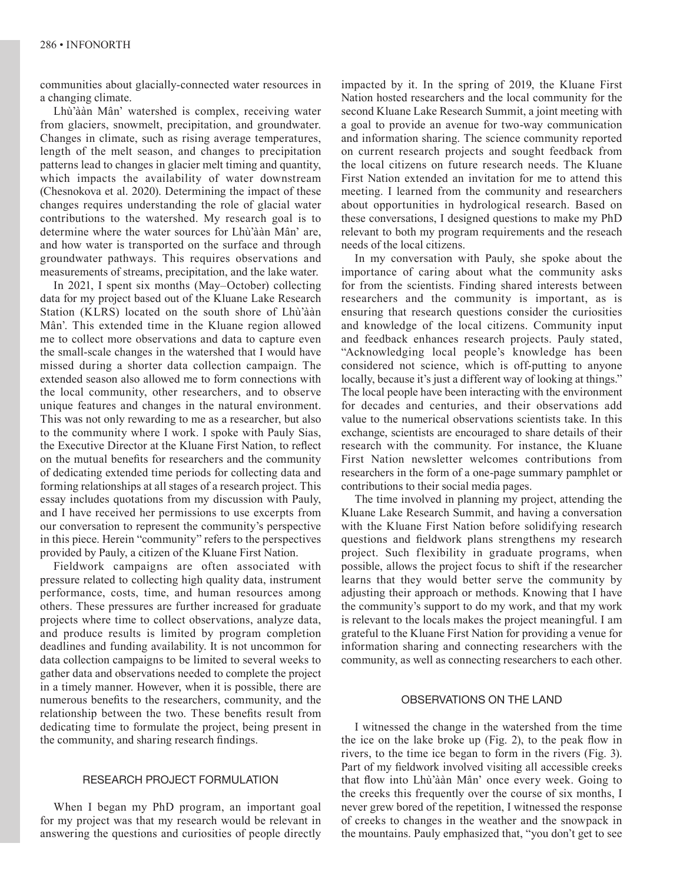communities about glacially-connected water resources in a changing climate.

Lhù'ààn Mân' watershed is complex, receiving water from glaciers, snowmelt, precipitation, and groundwater. Changes in climate, such as rising average temperatures, length of the melt season, and changes to precipitation patterns lead to changes in glacier melt timing and quantity, which impacts the availability of water downstream (Chesnokova et al. 2020). Determining the impact of these changes requires understanding the role of glacial water contributions to the watershed. My research goal is to determine where the water sources for Lhù'ààn Mân' are, and how water is transported on the surface and through groundwater pathways. This requires observations and measurements of streams, precipitation, and the lake water.

In 2021, I spent six months (May–October) collecting data for my project based out of the Kluane Lake Research Station (KLRS) located on the south shore of Lhù'ààn Mân'. This extended time in the Kluane region allowed me to collect more observations and data to capture even the small-scale changes in the watershed that I would have missed during a shorter data collection campaign. The extended season also allowed me to form connections with the local community, other researchers, and to observe unique features and changes in the natural environment. This was not only rewarding to me as a researcher, but also to the community where I work. I spoke with Pauly Sias, the Executive Director at the Kluane First Nation, to refect on the mutual benefts for researchers and the community of dedicating extended time periods for collecting data and forming relationships at all stages of a research project. This essay includes quotations from my discussion with Pauly, and I have received her permissions to use excerpts from our conversation to represent the community's perspective in this piece. Herein "community" refers to the perspectives provided by Pauly, a citizen of the Kluane First Nation.

Fieldwork campaigns are often associated with pressure related to collecting high quality data, instrument performance, costs, time, and human resources among others. These pressures are further increased for graduate projects where time to collect observations, analyze data, and produce results is limited by program completion deadlines and funding availability. It is not uncommon for data collection campaigns to be limited to several weeks to gather data and observations needed to complete the project in a timely manner. However, when it is possible, there are numerous benefts to the researchers, community, and the relationship between the two. These benefts result from dedicating time to formulate the project, being present in the community, and sharing research fndings.

#### RESEARCH PROJECT FORMULATION

When I began my PhD program, an important goal for my project was that my research would be relevant in answering the questions and curiosities of people directly

impacted by it. In the spring of 2019, the Kluane First Nation hosted researchers and the local community for the second Kluane Lake Research Summit, a joint meeting with a goal to provide an avenue for two-way communication and information sharing. The science community reported on current research projects and sought feedback from the local citizens on future research needs. The Kluane First Nation extended an invitation for me to attend this meeting. I learned from the community and researchers about opportunities in hydrological research. Based on these conversations, I designed questions to make my PhD relevant to both my program requirements and the reseach needs of the local citizens.

In my conversation with Pauly, she spoke about the importance of caring about what the community asks for from the scientists. Finding shared interests between researchers and the community is important, as is ensuring that research questions consider the curiosities and knowledge of the local citizens. Community input and feedback enhances research projects. Pauly stated, "Acknowledging local people's knowledge has been considered not science, which is off-putting to anyone locally, because it's just a different way of looking at things." The local people have been interacting with the environment for decades and centuries, and their observations add value to the numerical observations scientists take. In this exchange, scientists are encouraged to share details of their research with the community. For instance, the Kluane First Nation newsletter welcomes contributions from researchers in the form of a one-page summary pamphlet or contributions to their social media pages.

The time involved in planning my project, attending the Kluane Lake Research Summit, and having a conversation with the Kluane First Nation before solidifying research questions and feldwork plans strengthens my research project. Such flexibility in graduate programs, when possible, allows the project focus to shift if the researcher learns that they would better serve the community by adjusting their approach or methods. Knowing that I have the community's support to do my work, and that my work is relevant to the locals makes the project meaningful. I am grateful to the Kluane First Nation for providing a venue for information sharing and connecting researchers with the community, as well as connecting researchers to each other.

#### OBSERVATIONS ON THE LAND

I witnessed the change in the watershed from the time the ice on the lake broke up (Fig. 2), to the peak fow in rivers, to the time ice began to form in the rivers (Fig. 3). Part of my feldwork involved visiting all accessible creeks that fow into Lhù'ààn Mân' once every week. Going to the creeks this frequently over the course of six months, I never grew bored of the repetition, I witnessed the response of creeks to changes in the weather and the snowpack in the mountains. Pauly emphasized that, "you don't get to see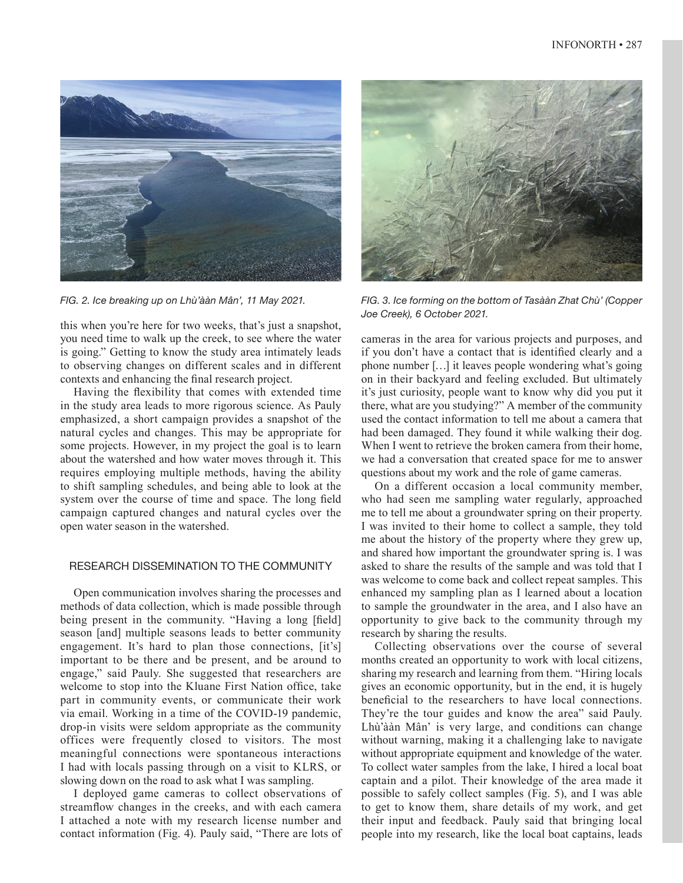

*FIG. 2. Ice breaking up on Lhù'ààn Mân', 11 May 2021.*

this when you're here for two weeks, that's just a snapshot, you need time to walk up the creek, to see where the water is going." Getting to know the study area intimately leads to observing changes on different scales and in different contexts and enhancing the fnal research project.

Having the fexibility that comes with extended time in the study area leads to more rigorous science. As Pauly emphasized, a short campaign provides a snapshot of the natural cycles and changes. This may be appropriate for some projects. However, in my project the goal is to learn about the watershed and how water moves through it. This requires employing multiple methods, having the ability to shift sampling schedules, and being able to look at the system over the course of time and space. The long feld campaign captured changes and natural cycles over the open water season in the watershed.

#### RESEARCH DISSEMINATION TO THE COMMUNITY

Open communication involves sharing the processes and methods of data collection, which is made possible through being present in the community. "Having a long [feld] season [and] multiple seasons leads to better community engagement. It's hard to plan those connections, [it's] important to be there and be present, and be around to engage," said Pauly. She suggested that researchers are welcome to stop into the Kluane First Nation office, take part in community events, or communicate their work via email. Working in a time of the COVID-19 pandemic, drop-in visits were seldom appropriate as the community offices were frequently closed to visitors. The most meaningful connections were spontaneous interactions I had with locals passing through on a visit to KLRS, or slowing down on the road to ask what I was sampling.

I deployed game cameras to collect observations of streamfow changes in the creeks, and with each camera I attached a note with my research license number and contact information (Fig. 4). Pauly said, "There are lots of



*FIG. 3. Ice forming on the bottom of Tasààn Zhat Chù' (Copper Joe Creek), 6 October 2021.*

cameras in the area for various projects and purposes, and if you don't have a contact that is identifed clearly and a phone number […] it leaves people wondering what's going on in their backyard and feeling excluded. But ultimately it's just curiosity, people want to know why did you put it there, what are you studying?" A member of the community used the contact information to tell me about a camera that had been damaged. They found it while walking their dog. When I went to retrieve the broken camera from their home, we had a conversation that created space for me to answer questions about my work and the role of game cameras.

On a different occasion a local community member, who had seen me sampling water regularly, approached me to tell me about a groundwater spring on their property. I was invited to their home to collect a sample, they told me about the history of the property where they grew up, and shared how important the groundwater spring is. I was asked to share the results of the sample and was told that I was welcome to come back and collect repeat samples. This enhanced my sampling plan as I learned about a location to sample the groundwater in the area, and I also have an opportunity to give back to the community through my research by sharing the results.

Collecting observations over the course of several months created an opportunity to work with local citizens, sharing my research and learning from them. "Hiring locals gives an economic opportunity, but in the end, it is hugely beneficial to the researchers to have local connections. They're the tour guides and know the area" said Pauly. Lhù'ààn Mân' is very large, and conditions can change without warning, making it a challenging lake to navigate without appropriate equipment and knowledge of the water. To collect water samples from the lake, I hired a local boat captain and a pilot. Their knowledge of the area made it possible to safely collect samples (Fig. 5), and I was able to get to know them, share details of my work, and get their input and feedback. Pauly said that bringing local people into my research, like the local boat captains, leads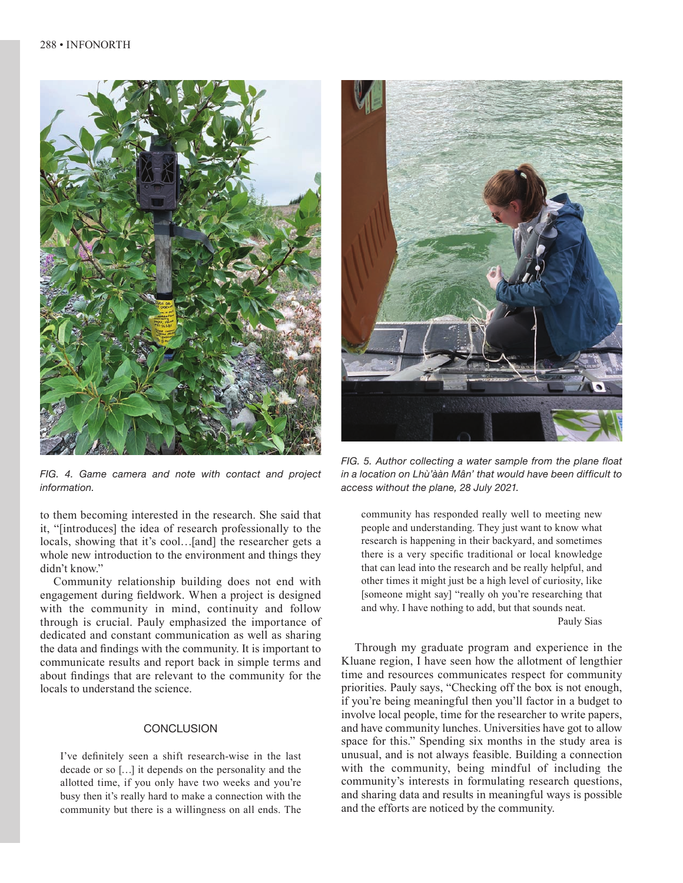

*FIG. 4. Game camera and note with contact and project information.*

to them becoming interested in the research. She said that it, "[introduces] the idea of research professionally to the locals, showing that it's cool…[and] the researcher gets a whole new introduction to the environment and things they didn't know."

Community relationship building does not end with engagement during feldwork. When a project is designed with the community in mind, continuity and follow through is crucial. Pauly emphasized the importance of dedicated and constant communication as well as sharing the data and fndings with the community. It is important to communicate results and report back in simple terms and about fndings that are relevant to the community for the locals to understand the science.

#### **CONCLUSION**

I've defnitely seen a shift research-wise in the last decade or so […] it depends on the personality and the allotted time, if you only have two weeks and you're busy then it's really hard to make a connection with the community but there is a willingness on all ends. The



*FIG. 5. Author collecting a water sample from the plane foat in a location on Lhù'ààn Mân' that would have been diffcult to access without the plane, 28 July 2021.*

community has responded really well to meeting new people and understanding. They just want to know what research is happening in their backyard, and sometimes there is a very specifc traditional or local knowledge that can lead into the research and be really helpful, and other times it might just be a high level of curiosity, like [someone might say] "really oh you're researching that and why. I have nothing to add, but that sounds neat.

Pauly Sias

Through my graduate program and experience in the Kluane region, I have seen how the allotment of lengthier time and resources communicates respect for community priorities. Pauly says, "Checking off the box is not enough, if you're being meaningful then you'll factor in a budget to involve local people, time for the researcher to write papers, and have community lunches. Universities have got to allow space for this." Spending six months in the study area is unusual, and is not always feasible. Building a connection with the community, being mindful of including the community's interests in formulating research questions, and sharing data and results in meaningful ways is possible and the efforts are noticed by the community.